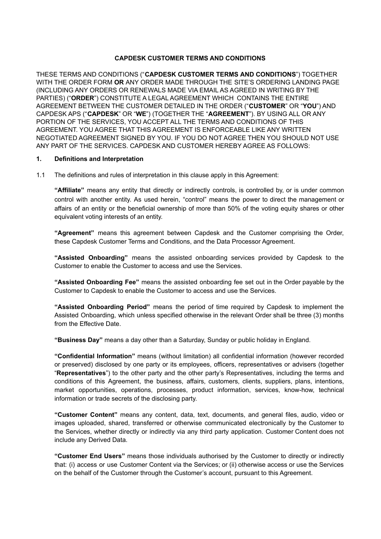#### **CAPDESK CUSTOMER TERMS AND CONDITIONS**

THESE TERMS AND CONDITIONS ("**CAPDESK CUSTOMER TERMS AND CONDITIONS**") TOGETHER WITH THE ORDER FORM **OR** ANY ORDER MADE THROUGH THE SITE'S ORDERING LANDING PAGE (INCLUDING ANY ORDERS OR RENEWALS MADE VIA EMAIL AS AGREED IN WRITING BY THE PARTIES) ("**ORDER**") CONSTITUTE A LEGAL AGREEMENT WHICH CONTAINS THE ENTIRE AGREEMENT BETWEEN THE CUSTOMER DETAILED IN THE ORDER ("**CUSTOMER**" OR "**YOU**") AND CAPDESK APS ("**CAPDESK**" OR "**WE**") (TOGETHER THE "**AGREEMENT**"). BY USING ALL OR ANY PORTION OF THE SERVICES, YOU ACCEPT ALL THE TERMS AND CONDITIONS OF THIS AGREEMENT. YOU AGREE THAT THIS AGREEMENT IS ENFORCEABLE LIKE ANY WRITTEN NEGOTIATED AGREEMENT SIGNED BY YOU. IF YOU DO NOT AGREE THEN YOU SHOULD NOT USE ANY PART OF THE SERVICES. CAPDESK AND CUSTOMER HEREBY AGREE AS FOLLOWS:

#### **1. Definitions and Interpretation**

1.1 The definitions and rules of interpretation in this clause apply in this Agreement:

**"Affiliate"** means any entity that directly or indirectly controls, is controlled by, or is under common control with another entity. As used herein, "control" means the power to direct the management or affairs of an entity or the beneficial ownership of more than 50% of the voting equity shares or other equivalent voting interests of an entity.

**"Agreement"** means this agreement between Capdesk and the Customer comprising the Order, these Capdesk Customer Terms and Conditions, and the Data Processor Agreement.

**"Assisted Onboarding"** means the assisted onboarding services provided by Capdesk to the Customer to enable the Customer to access and use the Services.

**"Assisted Onboarding Fee"** means the assisted onboarding fee set out in the Order payable by the Customer to Capdesk to enable the Customer to access and use the Services.

**"Assisted Onboarding Period"** means the period of time required by Capdesk to implement the Assisted Onboarding, which unless specified otherwise in the relevant Order shall be three (3) months from the Effective Date.

**"Business Day"** means a day other than a Saturday, Sunday or public holiday in England.

**"Confidential Information"** means (without limitation) all confidential information (however recorded or preserved) disclosed by one party or its employees, officers, representatives or advisers (together "**Representatives**") to the other party and the other party's Representatives, including the terms and conditions of this Agreement, the business, affairs, customers, clients, suppliers, plans, intentions, market opportunities, operations, processes, product information, services, know-how, technical information or trade secrets of the disclosing party.

**"Customer Content"** means any content, data, text, documents, and general files, audio, video or images uploaded, shared, transferred or otherwise communicated electronically by the Customer to the Services, whether directly or indirectly via any third party application. Customer Content does not include any Derived Data.

**"Customer End Users"** means those individuals authorised by the Customer to directly or indirectly that: (i) access or use Customer Content via the Services; or (ii) otherwise access or use the Services on the behalf of the Customer through the Customer's account, pursuant to this Agreement.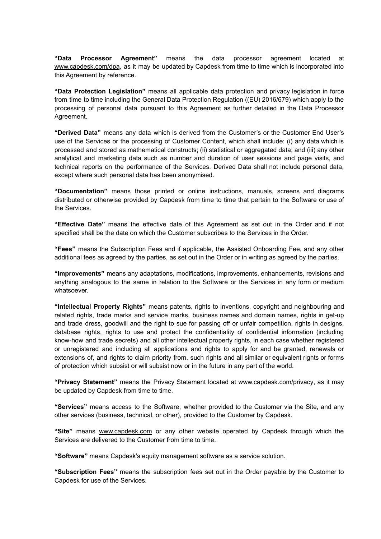**"Data Processor Agreement"** means the data processor agreement located at [www.capdesk.com/dpa](https://www.capdesk.com/dpa), as it may be updated by Capdesk from time to time which is incorporated into this Agreement by reference.

**"Data Protection Legislation"** means all applicable data protection and privacy legislation in force from time to time including the General Data Protection Regulation ((EU) 2016/679) which apply to the processing of personal data pursuant to this Agreement as further detailed in the Data Processor Agreement.

**"Derived Data"** means any data which is derived from the Customer's or the Customer End User's use of the Services or the processing of Customer Content, which shall include: (i) any data which is processed and stored as mathematical constructs; (ii) statistical or aggregated data; and (iii) any other analytical and marketing data such as number and duration of user sessions and page visits, and technical reports on the performance of the Services. Derived Data shall not include personal data, except where such personal data has been anonymised.

**"Documentation"** means those printed or online instructions, manuals, screens and diagrams distributed or otherwise provided by Capdesk from time to time that pertain to the Software or use of the Services.

**"Effective Date"** means the effective date of this Agreement as set out in the Order and if not specified shall be the date on which the Customer subscribes to the Services in the Order.

**"Fees"** means the Subscription Fees and if applicable, the Assisted Onboarding Fee, and any other additional fees as agreed by the parties, as set out in the Order or in writing as agreed by the parties.

**"Improvements"** means any adaptations, modifications, improvements, enhancements, revisions and anything analogous to the same in relation to the Software or the Services in any form or medium whatsoever.

**"Intellectual Property Rights"** means patents, rights to inventions, copyright and neighbouring and related rights, trade marks and service marks, business names and domain names, rights in get-up and trade dress, goodwill and the right to sue for passing off or unfair competition, rights in designs, database rights, rights to use and protect the confidentiality of confidential information (including know-how and trade secrets) and all other intellectual property rights, in each case whether registered or unregistered and including all applications and rights to apply for and be granted, renewals or extensions of, and rights to claim priority from, such rights and all similar or equivalent rights or forms of protection which subsist or will subsist now or in the future in any part of the world.

**"Privacy Statement"** means the Privacy Statement located at [www.capdesk.com/privacy](https://www.capdesk.com/privacy), as it may be updated by Capdesk from time to time.

**"Services"** means access to the Software, whether provided to the Customer via the Site, and any other services (business, technical, or other), provided to the Customer by Capdesk.

**"Site"** means [www.capdesk.com](http://www.capdesk.com) or any other website operated by Capdesk through which the Services are delivered to the Customer from time to time.

**"Software"** means Capdesk's equity management software as a service solution.

**"Subscription Fees"** means the subscription fees set out in the Order payable by the Customer to Capdesk for use of the Services.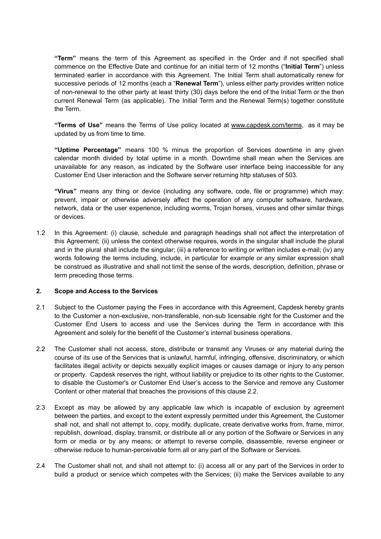**"Term"** means the term of this Agreement as specified in the Order and if not specified shall commence on the Effective Date and continue for an initial term of 12 months ("**Initial Term**") unless terminated earlier in accordance with this Agreement. The Initial Term shall automatically renew for successive periods of 12 months (each a "**Renewal Term**"), unless either party provides written notice of non-renewal to the other party at least thirty (30) days before the end of the Initial Term or the then current Renewal Term (as applicable). The Initial Term and the Renewal Term(s) together constitute the Term.

**"Terms of Use"** means the Terms of Use policy located at [www.capdesk.com/terms](https://www.capdesk.com/terms), as it may be updated by us from time to time.

**"Uptime Percentage"** means 100 % minus the proportion of Services downtime in any given calendar month divided by total uptime in a month. Downtime shall mean when the Services are unavailable for any reason, as indicated by the Software user interface being inaccessible for any Customer End User interaction and the Software server returning http statuses of 503.

**"Virus"** means any thing or device (including any software, code, file or programme) which may: prevent, impair or otherwise adversely affect the operation of any computer software, hardware, network, data or the user experience, including worms, Trojan horses, viruses and other similar things or devices.

1.2 In this Agreement: (i) clause, schedule and paragraph headings shall not affect the interpretation of this Agreement; (ii) unless the context otherwise requires, words in the singular shall include the plural and in the plural shall include the singular; (iii) a reference to writing or written includes e-mail; (iv) any words following the terms including, include, in particular for example or any similar expression shall be construed as illustrative and shall not limit the sense of the words, description, definition, phrase or term preceding those terms.

#### **2. Scope and Access to the Services**

- 2.1 Subject to the Customer paying the Fees in accordance with this Agreement, Capdesk hereby grants to the Customer a non-exclusive, non-transferable, non-sub licensable right for the Customer and the Customer End Users to access and use the Services during the Term in accordance with this Agreement and solely for the benefit of the Customer's internal business operations.
- 2.2 The Customer shall not access, store, distribute or transmit any Viruses or any material during the course of its use of the Services that is unlawful, harmful, infringing, offensive, discriminatory, or which facilitates illegal activity or depicts sexually explicit images or causes damage or injury to any person or property. Capdesk reserves the right, without liability or prejudice to its other rights to the Customer, to disable the Customer's or Customer End User's access to the Service and remove any Customer Content or other material that breaches the provisions of this clause 2.2.
- 2.3 Except as may be allowed by any applicable law which is incapable of exclusion by agreement between the parties, and except to the extent expressly permitted under this Agreement, the Customer shall not, and shall not attempt to, copy, modify, duplicate, create derivative works from, frame, mirror, republish, download, display, transmit, or distribute all or any portion of the Software or Services in any form or media or by any means; or attempt to reverse compile, disassemble, reverse engineer or otherwise reduce to human-perceivable form all or any part of the Software or Services.
- 2.4 The Customer shall not, and shall not attempt to: (i) access all or any part of the Services in order to build a product or service which competes with the Services; (ii) make the Services available to any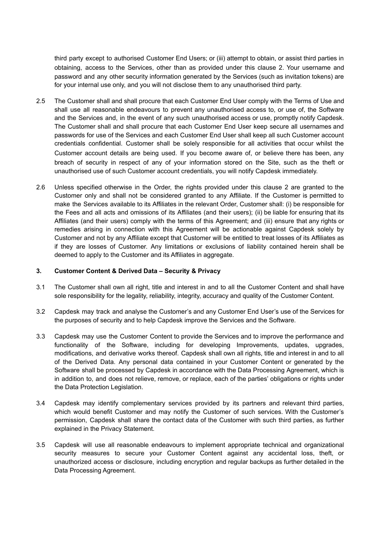third party except to authorised Customer End Users; or (iii) attempt to obtain, or assist third parties in obtaining, access to the Services, other than as provided under this clause 2. Your username and password and any other security information generated by the Services (such as invitation tokens) are for your internal use only, and you will not disclose them to any unauthorised third party.

- 2.5 The Customer shall and shall procure that each Customer End User comply with the Terms of Use and shall use all reasonable endeavours to prevent any unauthorised access to, or use of, the Software and the Services and, in the event of any such unauthorised access or use, promptly notify Capdesk. The Customer shall and shall procure that each Customer End User keep secure all usernames and passwords for use of the Services and each Customer End User shall keep all such Customer account credentials confidential. Customer shall be solely responsible for all activities that occur whilst the Customer account details are being used. If you become aware of, or believe there has been, any breach of security in respect of any of your information stored on the Site, such as the theft or unauthorised use of such Customer account credentials, you will notify Capdesk immediately.
- 2.6 Unless specified otherwise in the Order, the rights provided under this clause 2 are granted to the Customer only and shall not be considered granted to any Affiliate. If the Customer is permitted to make the Services available to its Affiliates in the relevant Order, Customer shall: (i) be responsible for the Fees and all acts and omissions of its Affiliates (and their users); (ii) be liable for ensuring that its Affiliates (and their users) comply with the terms of this Agreement; and (iii) ensure that any rights or remedies arising in connection with this Agreement will be actionable against Capdesk solely by Customer and not by any Affiliate except that Customer will be entitled to treat losses of its Affiliates as if they are losses of Customer. Any limitations or exclusions of liability contained herein shall be deemed to apply to the Customer and its Affiliates in aggregate.

#### **3. Customer Content & Derived Data – Security & Privacy**

- 3.1 The Customer shall own all right, title and interest in and to all the Customer Content and shall have sole responsibility for the legality, reliability, integrity, accuracy and quality of the Customer Content.
- 3.2 Capdesk may track and analyse the Customer's and any Customer End User's use of the Services for the purposes of security and to help Capdesk improve the Services and the Software.
- 3.3 Capdesk may use the Customer Content to provide the Services and to improve the performance and functionality of the Software, including for developing Improvements, updates, upgrades, modifications, and derivative works thereof. Capdesk shall own all rights, title and interest in and to all of the Derived Data. Any personal data contained in your Customer Content or generated by the Software shall be processed by Capdesk in accordance with the Data Processing Agreement, which is in addition to, and does not relieve, remove, or replace, each of the parties' obligations or rights under the Data Protection Legislation.
- 3.4 Capdesk may identify complementary services provided by its partners and relevant third parties, which would benefit Customer and may notify the Customer of such services. With the Customer's permission, Capdesk shall share the contact data of the Customer with such third parties, as further explained in the Privacy Statement.
- 3.5 Capdesk will use all reasonable endeavours to implement appropriate technical and organizational security measures to secure your Customer Content against any accidental loss, theft, or unauthorized access or disclosure, including encryption and regular backups as further detailed in the Data Processing Agreement.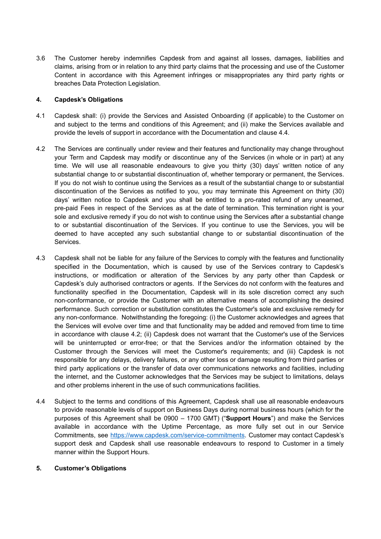3.6 The Customer hereby indemnifies Capdesk from and against all losses, damages, liabilities and claims, arising from or in relation to any third party claims that the processing and use of the Customer Content in accordance with this Agreement infringes or misappropriates any third party rights or breaches Data Protection Legislation.

# **4. Capdesk's Obligations**

- 4.1 Capdesk shall: (i) provide the Services and Assisted Onboarding (if applicable) to the Customer on and subject to the terms and conditions of this Agreement; and (ii) make the Services available and provide the levels of support in accordance with the Documentation and clause 4.4.
- 4.2 The Services are continually under review and their features and functionality may change throughout your Term and Capdesk may modify or discontinue any of the Services (in whole or in part) at any time. We will use all reasonable endeavours to give you thirty (30) days' written notice of any substantial change to or substantial discontinuation of, whether temporary or permanent, the Services. If you do not wish to continue using the Services as a result of the substantial change to or substantial discontinuation of the Services as notified to you, you may terminate this Agreement on thirty (30) days' written notice to Capdesk and you shall be entitled to a pro-rated refund of any unearned, pre-paid Fees in respect of the Services as at the date of termination. This termination right is your sole and exclusive remedy if you do not wish to continue using the Services after a substantial change to or substantial discontinuation of the Services. If you continue to use the Services, you will be deemed to have accepted any such substantial change to or substantial discontinuation of the Services.
- 4.3 Capdesk shall not be liable for any failure of the Services to comply with the features and functionality specified in the Documentation, which is caused by use of the Services contrary to Capdesk's instructions, or modification or alteration of the Services by any party other than Capdesk or Capdesk's duly authorised contractors or agents. If the Services do not conform with the features and functionality specified in the Documentation, Capdesk will in its sole discretion correct any such non-conformance, or provide the Customer with an alternative means of accomplishing the desired performance. Such correction or substitution constitutes the Customer's sole and exclusive remedy for any non-conformance. Notwithstanding the foregoing: (i) the Customer acknowledges and agrees that the Services will evolve over time and that functionality may be added and removed from time to time in accordance with clause 4.2; (ii) Capdesk does not warrant that the Customer's use of the Services will be uninterrupted or error-free; or that the Services and/or the information obtained by the Customer through the Services will meet the Customer's requirements; and (iii) Capdesk is not responsible for any delays, delivery failures, or any other loss or damage resulting from third parties or third party applications or the transfer of data over communications networks and facilities, including the internet, and the Customer acknowledges that the Services may be subject to limitations, delays and other problems inherent in the use of such communications facilities.
- 4.4 Subject to the terms and conditions of this Agreement, Capdesk shall use all reasonable endeavours to provide reasonable levels of support on Business Days during normal business hours (which for the purposes of this Agreement shall be 0900 – 1700 GMT) ("**Support Hours**") and make the Services available in accordance with the Uptime Percentage, as more fully set out in our Service Commitments, see [https://www.capdesk.com/service-commitments.](https://www.capdesk.com/service-commitments) Customer may contact Capdesk's support desk and Capdesk shall use reasonable endeavours to respond to Customer in a timely manner within the Support Hours.

## **5. Customer's Obligations**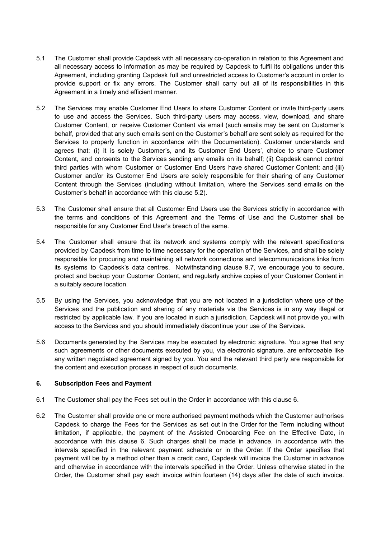- 5.1 The Customer shall provide Capdesk with all necessary co-operation in relation to this Agreement and all necessary access to information as may be required by Capdesk to fulfil its obligations under this Agreement, including granting Capdesk full and unrestricted access to Customer's account in order to provide support or fix any errors. The Customer shall carry out all of its responsibilities in this Agreement in a timely and efficient manner.
- 5.2 The Services may enable Customer End Users to share Customer Content or invite third-party users to use and access the Services. Such third-party users may access, view, download, and share Customer Content, or receive Customer Content via email (such emails may be sent on Customer's behalf, provided that any such emails sent on the Customer's behalf are sent solely as required for the Services to properly function in accordance with the Documentation). Customer understands and agrees that: (i) it is solely Customer's, and its Customer End Users', choice to share Customer Content, and consents to the Services sending any emails on its behalf; (ii) Capdesk cannot control third parties with whom Customer or Customer End Users have shared Customer Content; and (iii) Customer and/or its Customer End Users are solely responsible for their sharing of any Customer Content through the Services (including without limitation, where the Services send emails on the Customer's behalf in accordance with this clause 5.2).
- 5.3 The Customer shall ensure that all Customer End Users use the Services strictly in accordance with the terms and conditions of this Agreement and the Terms of Use and the Customer shall be responsible for any Customer End User's breach of the same.
- 5.4 The Customer shall ensure that its network and systems comply with the relevant specifications provided by Capdesk from time to time necessary for the operation of the Services, and shall be solely responsible for procuring and maintaining all network connections and telecommunications links from its systems to Capdesk's data centres. Notwithstanding clause 9.7, we encourage you to secure, protect and backup your Customer Content, and regularly archive copies of your Customer Content in a suitably secure location.
- 5.5 By using the Services, you acknowledge that you are not located in a jurisdiction where use of the Services and the publication and sharing of any materials via the Services is in any way illegal or restricted by applicable law. If you are located in such a jurisdiction, Capdesk will not provide you with access to the Services and you should immediately discontinue your use of the Services.
- 5.6 Documents generated by the Services may be executed by electronic signature. You agree that any such agreements or other documents executed by you, via electronic signature, are enforceable like any written negotiated agreement signed by you. You and the relevant third party are responsible for the content and execution process in respect of such documents.

## **6. Subscription Fees and Payment**

- 6.1 The Customer shall pay the Fees set out in the Order in accordance with this clause 6.
- 6.2 The Customer shall provide one or more authorised payment methods which the Customer authorises Capdesk to charge the Fees for the Services as set out in the Order for the Term including without limitation, if applicable, the payment of the Assisted Onboarding Fee on the Effective Date, in accordance with this clause 6. Such charges shall be made in advance, in accordance with the intervals specified in the relevant payment schedule or in the Order. If the Order specifies that payment will be by a method other than a credit card, Capdesk will invoice the Customer in advance and otherwise in accordance with the intervals specified in the Order. Unless otherwise stated in the Order, the Customer shall pay each invoice within fourteen (14) days after the date of such invoice.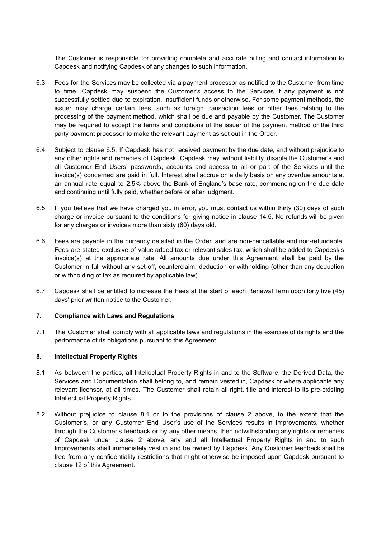The Customer is responsible for providing complete and accurate billing and contact information to Capdesk and notifying Capdesk of any changes to such information.

- 6.3 Fees for the Services may be collected via a payment processor as notified to the Customer from time to time. Capdesk may suspend the Customer's access to the Services if any payment is not successfully settled due to expiration, insufficient funds or otherwise. For some payment methods, the issuer may charge certain fees, such as foreign transaction fees or other fees relating to the processing of the payment method, which shall be due and payable by the Customer. The Customer may be required to accept the terms and conditions of the issuer of the payment method or the third party payment processor to make the relevant payment as set out in the Order.
- 6.4 Subject to clause 6.5, If Capdesk has not received payment by the due date, and without prejudice to any other rights and remedies of Capdesk, Capdesk may, without liability, disable the Customer's and all Customer End Users' passwords, accounts and access to all or part of the Services until the invoice(s) concerned are paid in full. Interest shall accrue on a daily basis on any overdue amounts at an annual rate equal to 2.5% above the Bank of England's base rate, commencing on the due date and continuing until fully paid, whether before or after judgment.
- 6.5 If you believe that we have charged you in error, you must contact us within thirty (30) days of such charge or invoice pursuant to the conditions for giving notice in clause 14.5. No refunds will be given for any charges or invoices more than sixty (60) days old.
- 6.6 Fees are payable in the currency detailed in the Order, and are non-cancellable and non-refundable. Fees are stated exclusive of value added tax or relevant sales tax, which shall be added to Capdesk's invoice(s) at the appropriate rate. All amounts due under this Agreement shall be paid by the Customer in full without any set-off, counterclaim, deduction or withholding (other than any deduction or withholding of tax as required by applicable law).
- 6.7 Capdesk shall be entitled to increase the Fees at the start of each Renewal Term upon forty five (45) days' prior written notice to the Customer.

## **7. Compliance with Laws and Regulations**

7.1 The Customer shall comply with all applicable laws and regulations in the exercise of its rights and the performance of its obligations pursuant to this Agreement.

## **8. Intellectual Property Rights**

- 8.1 As between the parties, all Intellectual Property Rights in and to the Software, the Derived Data, the Services and Documentation shall belong to, and remain vested in, Capdesk or where applicable any relevant licensor, at all times. The Customer shall retain all right, title and interest to its pre-existing Intellectual Property Rights.
- 8.2 Without prejudice to clause 8.1 or to the provisions of clause 2 above, to the extent that the Customer's, or any Customer End User's use of the Services results in Improvements, whether through the Customer's feedback or by any other means, then notwithstanding any rights or remedies of Capdesk under clause 2 above, any and all Intellectual Property Rights in and to such Improvements shall immediately vest in and be owned by Capdesk. Any Customer feedback shall be free from any confidentiality restrictions that might otherwise be imposed upon Capdesk pursuant to clause 12 of this Agreement.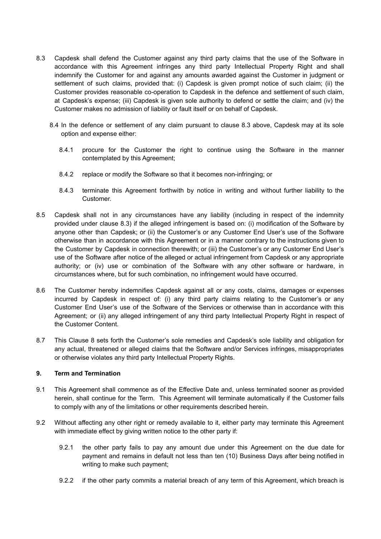- 8.3 Capdesk shall defend the Customer against any third party claims that the use of the Software in accordance with this Agreement infringes any third party Intellectual Property Right and shall indemnify the Customer for and against any amounts awarded against the Customer in judgment or settlement of such claims, provided that: (i) Capdesk is given prompt notice of such claim; (ii) the Customer provides reasonable co-operation to Capdesk in the defence and settlement of such claim, at Capdesk's expense; (iii) Capdesk is given sole authority to defend or settle the claim; and (iv) the Customer makes no admission of liability or fault itself or on behalf of Capdesk.
	- 8.4 In the defence or settlement of any claim pursuant to clause 8.3 above, Capdesk may at its sole option and expense either:
		- 8.4.1 procure for the Customer the right to continue using the Software in the manner contemplated by this Agreement;
		- 8.4.2 replace or modify the Software so that it becomes non-infringing; or
		- 8.4.3 terminate this Agreement forthwith by notice in writing and without further liability to the Customer.
- 8.5 Capdesk shall not in any circumstances have any liability (including in respect of the indemnity provided under clause 8.3) if the alleged infringement is based on: (i) modification of the Software by anyone other than Capdesk; or (ii) the Customer's or any Customer End User's use of the Software otherwise than in accordance with this Agreement or in a manner contrary to the instructions given to the Customer by Capdesk in connection therewith; or (iii) the Customer's or any Customer End User's use of the Software after notice of the alleged or actual infringement from Capdesk or any appropriate authority; or (iv) use or combination of the Software with any other software or hardware, in circumstances where, but for such combination, no infringement would have occurred.
- 8.6 The Customer hereby indemnifies Capdesk against all or any costs, claims, damages or expenses incurred by Capdesk in respect of: (i) any third party claims relating to the Customer's or any Customer End User's use of the Software of the Services or otherwise than in accordance with this Agreement; or (ii) any alleged infringement of any third party Intellectual Property Right in respect of the Customer Content.
- 8.7 This Clause 8 sets forth the Customer's sole remedies and Capdesk's sole liability and obligation for any actual, threatened or alleged claims that the Software and/or Services infringes, misappropriates or otherwise violates any third party Intellectual Property Rights.

## **9. Term and Termination**

- 9.1 This Agreement shall commence as of the Effective Date and, unless terminated sooner as provided herein, shall continue for the Term. This Agreement will terminate automatically if the Customer fails to comply with any of the limitations or other requirements described herein.
- 9.2 Without affecting any other right or remedy available to it, either party may terminate this Agreement with immediate effect by giving written notice to the other party if:
	- 9.2.1 the other party fails to pay any amount due under this Agreement on the due date for payment and remains in default not less than ten (10) Business Days after being notified in writing to make such payment;
	- 9.2.2 if the other party commits a material breach of any term of this Agreement, which breach is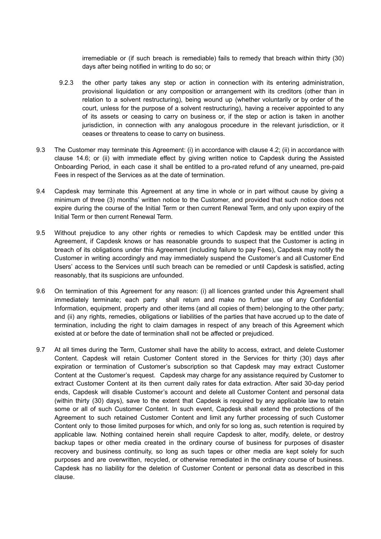irremediable or (if such breach is remediable) fails to remedy that breach within thirty (30) days after being notified in writing to do so; or

- 9.2.3 the other party takes any step or action in connection with its entering administration, provisional liquidation or any composition or arrangement with its creditors (other than in relation to a solvent restructuring), being wound up (whether voluntarily or by order of the court, unless for the purpose of a solvent restructuring), having a receiver appointed to any of its assets or ceasing to carry on business or, if the step or action is taken in another jurisdiction, in connection with any analogous procedure in the relevant jurisdiction, or it ceases or threatens to cease to carry on business.
- 9.3 The Customer may terminate this Agreement: (i) in accordance with clause 4.2; (ii) in accordance with clause 14.6; or (ii) with immediate effect by giving written notice to Capdesk during the Assisted Onboarding Period, in each case it shall be entitled to a pro-rated refund of any unearned, pre-paid Fees in respect of the Services as at the date of termination.
- 9.4 Capdesk may terminate this Agreement at any time in whole or in part without cause by giving a minimum of three (3) months' written notice to the Customer, and provided that such notice does not expire during the course of the Initial Term or then current Renewal Term, and only upon expiry of the Initial Term or then current Renewal Term.
- 9.5 Without prejudice to any other rights or remedies to which Capdesk may be entitled under this Agreement, if Capdesk knows or has reasonable grounds to suspect that the Customer is acting in breach of its obligations under this Agreement (including failure to pay Fees), Capdesk may notify the Customer in writing accordingly and may immediately suspend the Customer's and all Customer End Users' access to the Services until such breach can be remedied or until Capdesk is satisfied, acting reasonably, that its suspicions are unfounded.
- 9.6 On termination of this Agreement for any reason: (i) all licences granted under this Agreement shall immediately terminate; each party shall return and make no further use of any Confidential Information, equipment, property and other items (and all copies of them) belonging to the other party; and (ii) any rights, remedies, obligations or liabilities of the parties that have accrued up to the date of termination, including the right to claim damages in respect of any breach of this Agreement which existed at or before the date of termination shall not be affected or prejudiced.
- 9.7 At all times during the Term, Customer shall have the ability to access, extract, and delete Customer Content. Capdesk will retain Customer Content stored in the Services for thirty (30) days after expiration or termination of Customer's subscription so that Capdesk may may extract Customer Content at the Customer's request. Capdesk may charge for any assistance required by Customer to extract Customer Content at its then current daily rates for data extraction. After said 30-day period ends, Capdesk will disable Customer's account and delete all Customer Content and personal data (within thirty (30) days), save to the extent that Capdesk is required by any applicable law to retain some or all of such Customer Content. In such event, Capdesk shall extend the protections of the Agreement to such retained Customer Content and limit any further processing of such Customer Content only to those limited purposes for which, and only for so long as, such retention is required by applicable law. Nothing contained herein shall require Capdesk to alter, modify, delete, or destroy backup tapes or other media created in the ordinary course of business for purposes of disaster recovery and business continuity, so long as such tapes or other media are kept solely for such purposes and are overwritten, recycled, or otherwise remediated in the ordinary course of business. Capdesk has no liability for the deletion of Customer Content or personal data as described in this clause.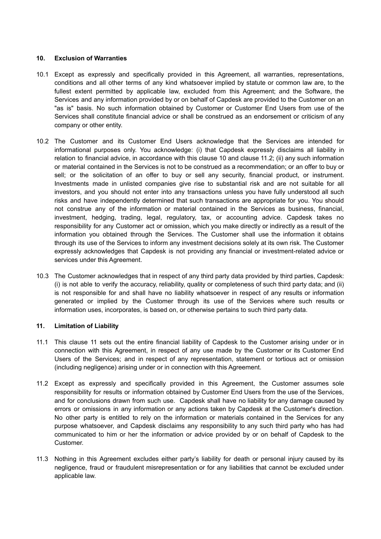# **10. Exclusion of Warranties**

- 10.1 Except as expressly and specifically provided in this Agreement, all warranties, representations, conditions and all other terms of any kind whatsoever implied by statute or common law are, to the fullest extent permitted by applicable law, excluded from this Agreement; and the Software, the Services and any information provided by or on behalf of Capdesk are provided to the Customer on an "as is" basis. No such information obtained by Customer or Customer End Users from use of the Services shall constitute financial advice or shall be construed as an endorsement or criticism of any company or other entity.
- 10.2 The Customer and its Customer End Users acknowledge that the Services are intended for informational purposes only. You acknowledge: (i) that Capdesk expressly disclaims all liability in relation to financial advice, in accordance with this clause 10 and clause 11.2; (ii) any such information or material contained in the Services is not to be construed as a recommendation; or an offer to buy or sell; or the solicitation of an offer to buy or sell any security, financial product, or instrument. Investments made in unlisted companies give rise to substantial risk and are not suitable for all investors, and you should not enter into any transactions unless you have fully understood all such risks and have independently determined that such transactions are appropriate for you. You should not construe any of the information or material contained in the Services as business, financial, investment, hedging, trading, legal, regulatory, tax, or accounting advice. Capdesk takes no responsibility for any Customer act or omission, which you make directly or indirectly as a result of the information you obtained through the Services. The Customer shall use the information it obtains through its use of the Services to inform any investment decisions solely at its own risk. The Customer expressly acknowledges that Capdesk is not providing any financial or investment-related advice or services under this Agreement.
- 10.3 The Customer acknowledges that in respect of any third party data provided by third parties, Capdesk: (i) is not able to verify the accuracy, reliability, quality or completeness of such third party data; and (ii) is not responsible for and shall have no liability whatsoever in respect of any results or information generated or implied by the Customer through its use of the Services where such results or information uses, incorporates, is based on, or otherwise pertains to such third party data.

# **11. Limitation of Liability**

- 11.1 This clause 11 sets out the entire financial liability of Capdesk to the Customer arising under or in connection with this Agreement, in respect of any use made by the Customer or its Customer End Users of the Services; and in respect of any representation, statement or tortious act or omission (including negligence) arising under or in connection with this Agreement.
- 11.2 Except as expressly and specifically provided in this Agreement, the Customer assumes sole responsibility for results or information obtained by Customer End Users from the use of the Services, and for conclusions drawn from such use. Capdesk shall have no liability for any damage caused by errors or omissions in any information or any actions taken by Capdesk at the Customer's direction. No other party is entitled to rely on the information or materials contained in the Services for any purpose whatsoever, and Capdesk disclaims any responsibility to any such third party who has had communicated to him or her the information or advice provided by or on behalf of Capdesk to the Customer.
- 11.3 Nothing in this Agreement excludes either party's liability for death or personal injury caused by its negligence, fraud or fraudulent misrepresentation or for any liabilities that cannot be excluded under applicable law.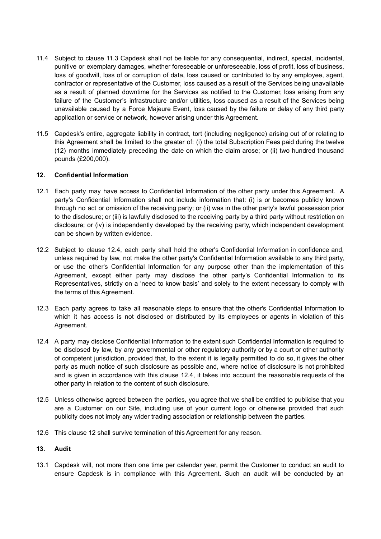- 11.4 Subject to clause 11.3 Capdesk shall not be liable for any consequential, indirect, special, incidental, punitive or exemplary damages, whether foreseeable or unforeseeable, loss of profit, loss of business, loss of goodwill, loss of or corruption of data, loss caused or contributed to by any employee, agent, contractor or representative of the Customer, loss caused as a result of the Services being unavailable as a result of planned downtime for the Services as notified to the Customer, loss arising from any failure of the Customer's infrastructure and/or utilities, loss caused as a result of the Services being unavailable caused by a Force Majeure Event, loss caused by the failure or delay of any third party application or service or network, however arising under this Agreement.
- 11.5 Capdesk's entire, aggregate liability in contract, tort (including negligence) arising out of or relating to this Agreement shall be limited to the greater of: (i) the total Subscription Fees paid during the twelve (12) months immediately preceding the date on which the claim arose; or (ii) two hundred thousand pounds (£200,000).

## **12. Confidential Information**

- 12.1 Each party may have access to Confidential Information of the other party under this Agreement. A party's Confidential Information shall not include information that: (i) is or becomes publicly known through no act or omission of the receiving party; or (ii) was in the other party's lawful possession prior to the disclosure; or (iii) is lawfully disclosed to the receiving party by a third party without restriction on disclosure; or (iv) is independently developed by the receiving party, which independent development can be shown by written evidence.
- 12.2 Subject to clause 12.4, each party shall hold the other's Confidential Information in confidence and, unless required by law, not make the other party's Confidential Information available to any third party, or use the other's Confidential Information for any purpose other than the implementation of this Agreement, except either party may disclose the other party's Confidential Information to its Representatives, strictly on a 'need to know basis' and solely to the extent necessary to comply with the terms of this Agreement.
- 12.3 Each party agrees to take all reasonable steps to ensure that the other's Confidential Information to which it has access is not disclosed or distributed by its employees or agents in violation of this Agreement.
- 12.4 A party may disclose Confidential Information to the extent such Confidential Information is required to be disclosed by law, by any governmental or other regulatory authority or by a court or other authority of competent jurisdiction, provided that, to the extent it is legally permitted to do so, it gives the other party as much notice of such disclosure as possible and, where notice of disclosure is not prohibited and is given in accordance with this clause 12.4, it takes into account the reasonable requests of the other party in relation to the content of such disclosure.
- 12.5 Unless otherwise agreed between the parties, you agree that we shall be entitled to publicise that you are a Customer on our Site, including use of your current logo or otherwise provided that such publicity does not imply any wider trading association or relationship between the parties.
- 12.6 This clause 12 shall survive termination of this Agreement for any reason.

#### **13. Audit**

13.1 Capdesk will, not more than one time per calendar year, permit the Customer to conduct an audit to ensure Capdesk is in compliance with this Agreement. Such an audit will be conducted by an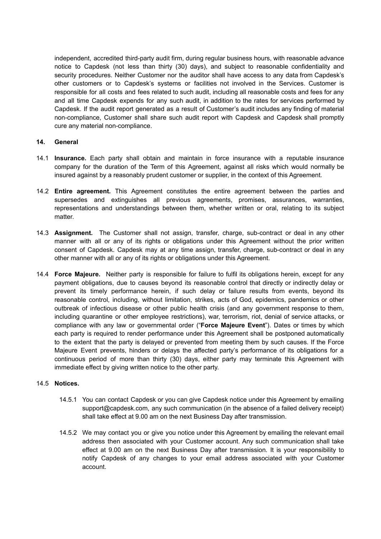independent, accredited third-party audit firm, during regular business hours, with reasonable advance notice to Capdesk (not less than thirty (30) days), and subject to reasonable confidentiality and security procedures. Neither Customer nor the auditor shall have access to any data from Capdesk's other customers or to Capdesk's systems or facilities not involved in the Services. Customer is responsible for all costs and fees related to such audit, including all reasonable costs and fees for any and all time Capdesk expends for any such audit, in addition to the rates for services performed by Capdesk. If the audit report generated as a result of Customer's audit includes any finding of material non-compliance, Customer shall share such audit report with Capdesk and Capdesk shall promptly cure any material non-compliance.

# **14. General**

- 14.1 **Insurance.** Each party shall obtain and maintain in force insurance with a reputable insurance company for the duration of the Term of this Agreement, against all risks which would normally be insured against by a reasonably prudent customer or supplier, in the context of this Agreement.
- 14.2 **Entire agreement.** This Agreement constitutes the entire agreement between the parties and supersedes and extinguishes all previous agreements, promises, assurances, warranties, representations and understandings between them, whether written or oral, relating to its subject matter.
- 14.3 **Assignment.** The Customer shall not assign, transfer, charge, sub-contract or deal in any other manner with all or any of its rights or obligations under this Agreement without the prior written consent of Capdesk. Capdesk may at any time assign, transfer, charge, sub-contract or deal in any other manner with all or any of its rights or obligations under this Agreement.
- 14.4 **Force Majeure.** Neither party is responsible for failure to fulfil its obligations herein, except for any payment obligations, due to causes beyond its reasonable control that directly or indirectly delay or prevent its timely performance herein, if such delay or failure results from events, beyond its reasonable control, including, without limitation, strikes, acts of God, epidemics, pandemics or other outbreak of infectious disease or other public health crisis (and any government response to them, including quarantine or other employee restrictions), war, terrorism, riot, denial of service attacks, or compliance with any law or governmental order ("**Force Majeure Event**"). Dates or times by which each party is required to render performance under this Agreement shall be postponed automatically to the extent that the party is delayed or prevented from meeting them by such causes. If the Force Majeure Event prevents, hinders or delays the affected party's performance of its obligations for a continuous period of more than thirty (30) days, either party may terminate this Agreement with immediate effect by giving written notice to the other party.

# 14.5 **Notices.**

- 14.5.1 You can contact Capdesk or you can give Capdesk notice under this Agreement by emailing support@capdesk.com, any such communication (in the absence of a failed delivery receipt) shall take effect at 9.00 am on the next Business Day after transmission.
- 14.5.2 We may contact you or give you notice under this Agreement by emailing the relevant email address then associated with your Customer account. Any such communication shall take effect at 9.00 am on the next Business Day after transmission. It is your responsibility to notify Capdesk of any changes to your email address associated with your Customer account.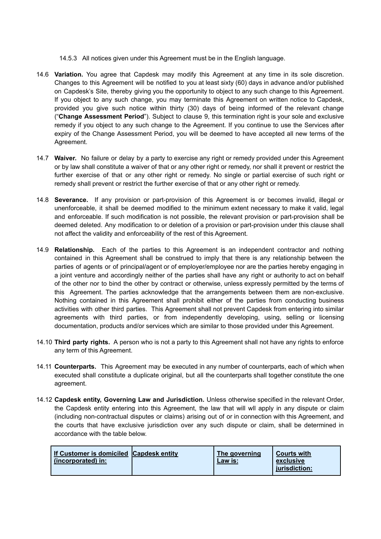- 14.5.3 All notices given under this Agreement must be in the English language.
- 14.6 **Variation.** You agree that Capdesk may modify this Agreement at any time in its sole discretion. Changes to this Agreement will be notified to you at least sixty (60) days in advance and/or published on Capdesk's Site, thereby giving you the opportunity to object to any such change to this Agreement. If you object to any such change, you may terminate this Agreement on written notice to Capdesk, provided you give such notice within thirty (30) days of being informed of the relevant change ("**Change Assessment Period**"). Subject to clause 9, this termination right is your sole and exclusive remedy if you object to any such change to the Agreement. If you continue to use the Services after expiry of the Change Assessment Period, you will be deemed to have accepted all new terms of the Agreement.
- 14.7 **Waiver.** No failure or delay by a party to exercise any right or remedy provided under this Agreement or by law shall constitute a waiver of that or any other right or remedy, nor shall it prevent or restrict the further exercise of that or any other right or remedy. No single or partial exercise of such right or remedy shall prevent or restrict the further exercise of that or any other right or remedy.
- 14.8 **Severance.** If any provision or part-provision of this Agreement is or becomes invalid, illegal or unenforceable, it shall be deemed modified to the minimum extent necessary to make it valid, legal and enforceable. If such modification is not possible, the relevant provision or part-provision shall be deemed deleted. Any modification to or deletion of a provision or part-provision under this clause shall not affect the validity and enforceability of the rest of this Agreement.
- 14.9 **Relationship.** Each of the parties to this Agreement is an independent contractor and nothing contained in this Agreement shall be construed to imply that there is any relationship between the parties of agents or of principal/agent or of employer/employee nor are the parties hereby engaging in a joint venture and accordingly neither of the parties shall have any right or authority to act on behalf of the other nor to bind the other by contract or otherwise, unless expressly permitted by the terms of this Agreement. The parties acknowledge that the arrangements between them are non-exclusive. Nothing contained in this Agreement shall prohibit either of the parties from conducting business activities with other third parties. This Agreement shall not prevent Capdesk from entering into similar agreements with third parties, or from independently developing, using, selling or licensing documentation, products and/or services which are similar to those provided under this Agreement.
- 14.10 **Third party rights.** A person who is not a party to this Agreement shall not have any rights to enforce any term of this Agreement.
- 14.11 **Counterparts.** This Agreement may be executed in any number of counterparts, each of which when executed shall constitute a duplicate original, but all the counterparts shall together constitute the one agreement.
- 14.12 **Capdesk entity, Governing Law and Jurisdiction.** Unless otherwise specified in the relevant Order, the Capdesk entity entering into this Agreement, the law that will wll apply in any dispute or claim (including non-contractual disputes or claims) arising out of or in connection with this Agreement, and the courts that have exclusive jurisdiction over any such dispute or claim, shall be determined in accordance with the table below.

| If Customer is domiciled Capdesk entity<br>(incorporated) in: |  | The governing<br>Law is: | <b>Courts with</b><br>exclusive<br>iurisdiction: |
|---------------------------------------------------------------|--|--------------------------|--------------------------------------------------|
|---------------------------------------------------------------|--|--------------------------|--------------------------------------------------|